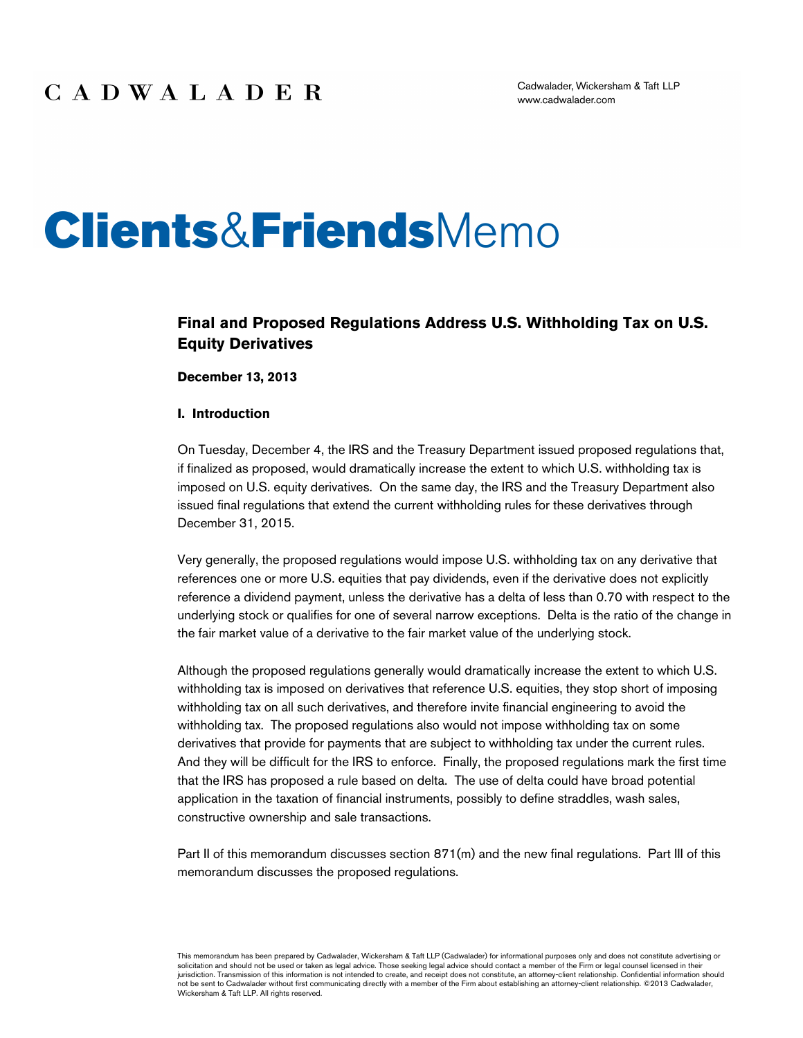# **Clients&Friends**Memo

## **Final and Proposed Regulations Address U.S. Withholding Tax on U.S. Equity Derivatives**

**December 13, 2013**

#### **I. Introduction**

On Tuesday, December 4, the IRS and the Treasury Department issued proposed regulations that, if finalized as proposed, would dramatically increase the extent to which U.S. withholding tax is imposed on U.S. equity derivatives. On the same day, the IRS and the Treasury Department also issued final regulations that extend the current withholding rules for these derivatives through December 31, 2015.

Very generally, the proposed regulations would impose U.S. withholding tax on any derivative that references one or more U.S. equities that pay dividends, even if the derivative does not explicitly reference a dividend payment, unless the derivative has a delta of less than 0.70 with respect to the underlying stock or qualifies for one of several narrow exceptions. Delta is the ratio of the change in the fair market value of a derivative to the fair market value of the underlying stock.

Although the proposed regulations generally would dramatically increase the extent to which U.S. withholding tax is imposed on derivatives that reference U.S. equities, they stop short of imposing withholding tax on all such derivatives, and therefore invite financial engineering to avoid the withholding tax. The proposed regulations also would not impose withholding tax on some derivatives that provide for payments that are subject to withholding tax under the current rules. And they will be difficult for the IRS to enforce. Finally, the proposed regulations mark the first time that the IRS has proposed a rule based on delta. The use of delta could have broad potential application in the taxation of financial instruments, possibly to define straddles, wash sales, constructive ownership and sale transactions.

Part II of this memorandum discusses section  $871(m)$  and the new final regulations. Part III of this memorandum discusses the proposed regulations.

This memorandum has been prepared by Cadwalader, Wickersham & Taft LLP (Cadwalader) for informational purposes only and does not constitute advertising or<br>solicitation and should not be used or taken as legal advice. Those jurisdiction. Transmission of this information is not intended to create, and receipt does not constitute, an attorney-client relationship. Confidential information should not be sent to Cadwalader without first communicating directly with a member of the Firm about establishing an attorney-client relationship. ©2013 Cadwalader, Wickersham & Taft LLP. All rights reserved.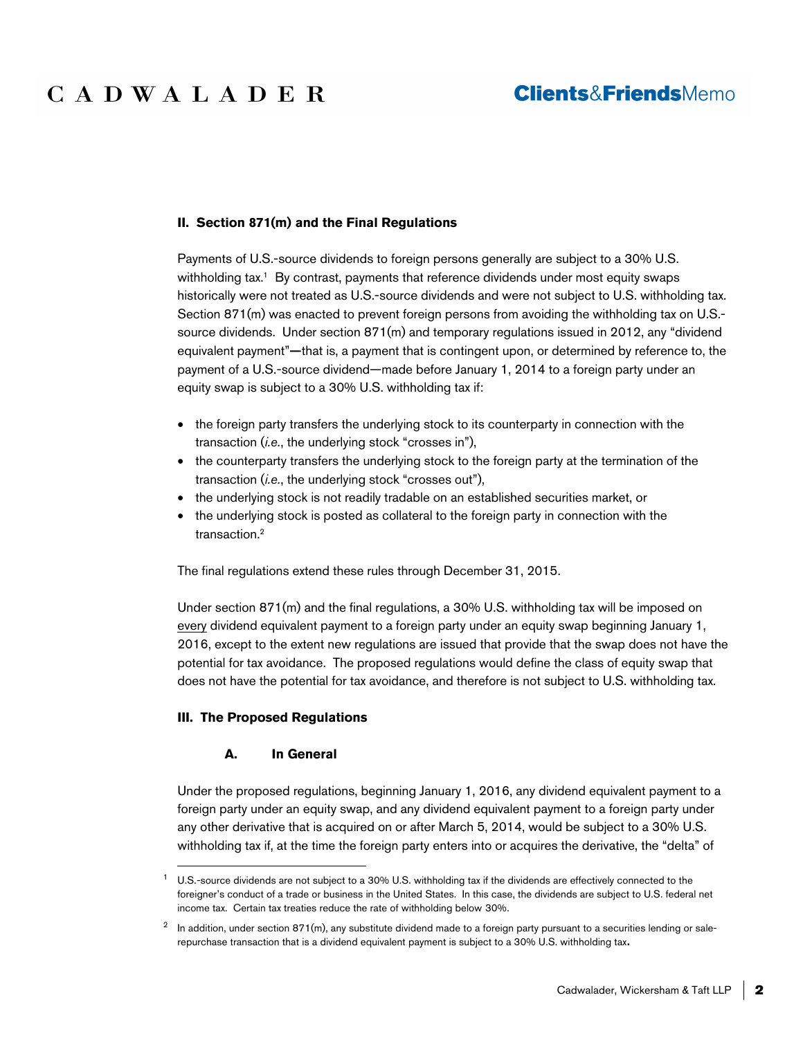## **Clients&FriendsMemo**

#### **II. Section 871(m) and the Final Regulations**

Payments of U.S.-source dividends to foreign persons generally are subject to a 30% U.S. withholding tax.<sup>1</sup> By contrast, payments that reference dividends under most equity swaps historically were not treated as U.S.-source dividends and were not subject to U.S. withholding tax. Section 871(m) was enacted to prevent foreign persons from avoiding the withholding tax on U.S. source dividends. Under section 871(m) and temporary regulations issued in 2012, any "dividend equivalent payment"—that is, a payment that is contingent upon, or determined by reference to, the payment of a U.S.-source dividend—made before January 1, 2014 to a foreign party under an equity swap is subject to a 30% U.S. withholding tax if:

- the foreign party transfers the underlying stock to its counterparty in connection with the transaction (*i.e.*, the underlying stock "crosses in"),
- the counterparty transfers the underlying stock to the foreign party at the termination of the transaction (*i.e.*, the underlying stock "crosses out"),
- the underlying stock is not readily tradable on an established securities market, or
- the underlying stock is posted as collateral to the foreign party in connection with the transaction.<sup>2</sup>

The final regulations extend these rules through December 31, 2015.

Under section 871(m) and the final regulations, a 30% U.S. withholding tax will be imposed on every dividend equivalent payment to a foreign party under an equity swap beginning January 1, 2016, except to the extent new regulations are issued that provide that the swap does not have the potential for tax avoidance. The proposed regulations would define the class of equity swap that does not have the potential for tax avoidance, and therefore is not subject to U.S. withholding tax.

## **III. The Proposed Regulations**

#### **A. In General**

Under the proposed regulations, beginning January 1, 2016, any dividend equivalent payment to a foreign party under an equity swap, and any dividend equivalent payment to a foreign party under any other derivative that is acquired on or after March 5, 2014, would be subject to a 30% U.S. withholding tax if, at the time the foreign party enters into or acquires the derivative, the "delta" of

<sup>&</sup>lt;sup>1</sup> U.S.-source dividends are not subject to a 30% U.S. withholding tax if the dividends are effectively connected to the foreigner's conduct of a trade or business in the United States. In this case, the dividends are subject to U.S. federal net income tax. Certain tax treaties reduce the rate of withholding below 30%.

 $^2$  In addition, under section 871(m), any substitute dividend made to a foreign party pursuant to a securities lending or salerepurchase transaction that is a dividend equivalent payment is subject to a 30% U.S. withholding tax.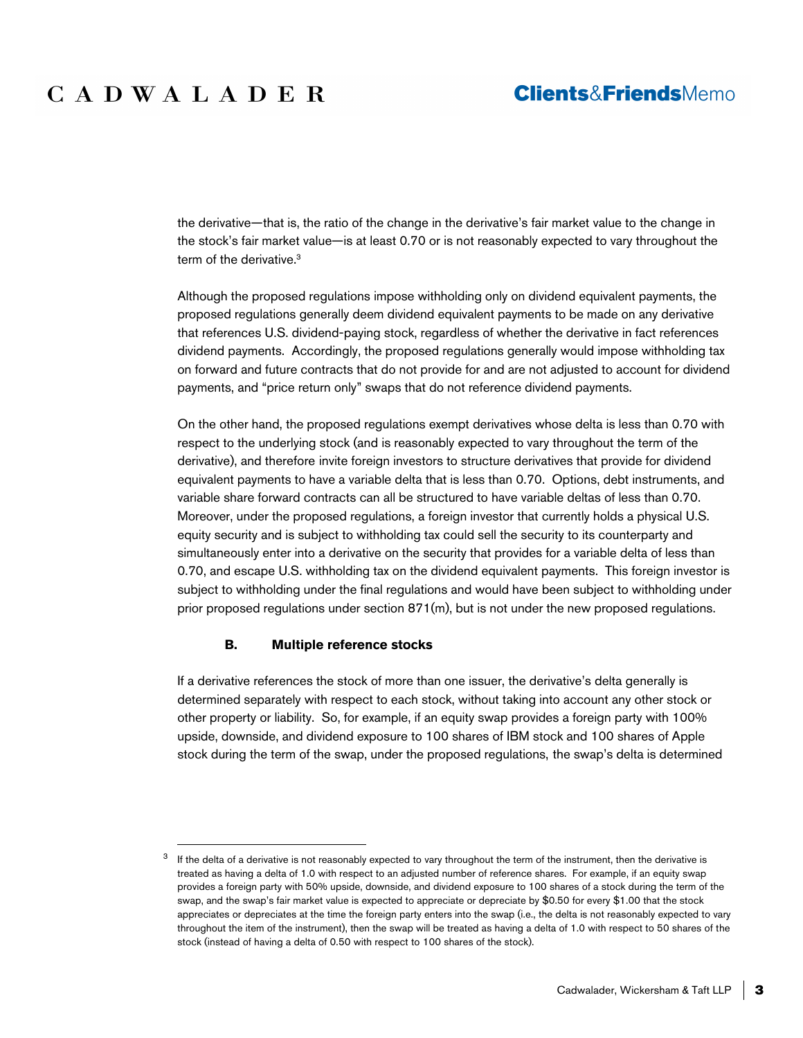## **Clients&FriendsMemo**

the derivative—that is, the ratio of the change in the derivative's fair market value to the change in the stock's fair market value—is at least 0.70 or is not reasonably expected to vary throughout the term of the derivative.<sup>3</sup>

Although the proposed regulations impose withholding only on dividend equivalent payments, the proposed regulations generally deem dividend equivalent payments to be made on any derivative that references U.S. dividend-paying stock, regardless of whether the derivative in fact references dividend payments. Accordingly, the proposed regulations generally would impose withholding tax on forward and future contracts that do not provide for and are not adjusted to account for dividend payments, and "price return only" swaps that do not reference dividend payments.

On the other hand, the proposed regulations exempt derivatives whose delta is less than 0.70 with respect to the underlying stock (and is reasonably expected to vary throughout the term of the derivative), and therefore invite foreign investors to structure derivatives that provide for dividend equivalent payments to have a variable delta that is less than 0.70. Options, debt instruments, and variable share forward contracts can all be structured to have variable deltas of less than 0.70. Moreover, under the proposed regulations, a foreign investor that currently holds a physical U.S. equity security and is subject to withholding tax could sell the security to its counterparty and simultaneously enter into a derivative on the security that provides for a variable delta of less than 0.70, and escape U.S. withholding tax on the dividend equivalent payments. This foreign investor is subject to withholding under the final regulations and would have been subject to withholding under prior proposed regulations under section 871(m), but is not under the new proposed regulations.

#### **B. Multiple reference stocks**

If a derivative references the stock of more than one issuer, the derivative's delta generally is determined separately with respect to each stock, without taking into account any other stock or other property or liability. So, for example, if an equity swap provides a foreign party with 100% upside, downside, and dividend exposure to 100 shares of IBM stock and 100 shares of Apple stock during the term of the swap, under the proposed regulations, the swap's delta is determined

 $3$  If the delta of a derivative is not reasonably expected to vary throughout the term of the instrument, then the derivative is treated as having a delta of 1.0 with respect to an adjusted number of reference shares. For example, if an equity swap provides a foreign party with 50% upside, downside, and dividend exposure to 100 shares of a stock during the term of the swap, and the swap's fair market value is expected to appreciate or depreciate by \$0.50 for every \$1.00 that the stock appreciates or depreciates at the time the foreign party enters into the swap (i.e., the delta is not reasonably expected to vary throughout the item of the instrument), then the swap will be treated as having a delta of 1.0 with respect to 50 shares of the stock (instead of having a delta of 0.50 with respect to 100 shares of the stock).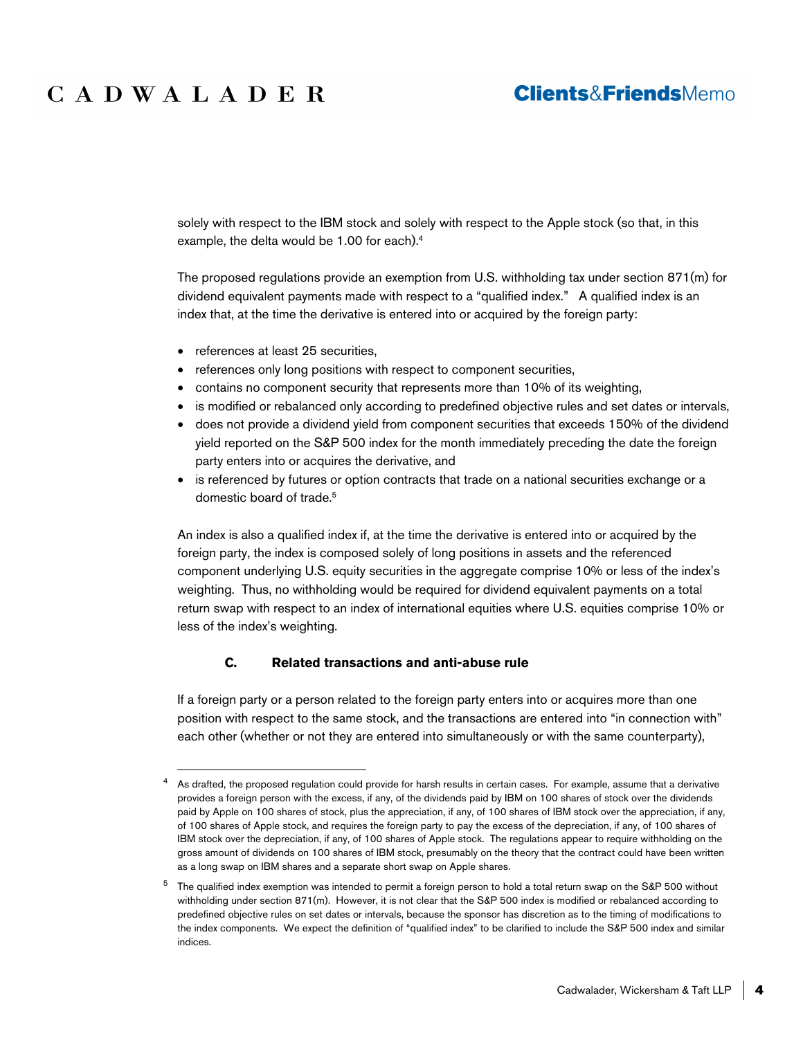## **Clients&FriendsMemo**

solely with respect to the IBM stock and solely with respect to the Apple stock (so that, in this example, the delta would be 1.00 for each).<sup>4</sup>

The proposed regulations provide an exemption from U.S. withholding tax under section 871(m) for dividend equivalent payments made with respect to a "qualified index." A qualified index is an index that, at the time the derivative is entered into or acquired by the foreign party:

- references at least 25 securities,
- references only long positions with respect to component securities,
- contains no component security that represents more than 10% of its weighting,
- is modified or rebalanced only according to predefined objective rules and set dates or intervals,
- does not provide a dividend yield from component securities that exceeds 150% of the dividend yield reported on the S&P 500 index for the month immediately preceding the date the foreign party enters into or acquires the derivative, and
- is referenced by futures or option contracts that trade on a national securities exchange or a domestic board of trade.<sup>5</sup>

An index is also a qualified index if, at the time the derivative is entered into or acquired by the foreign party, the index is composed solely of long positions in assets and the referenced component underlying U.S. equity securities in the aggregate comprise 10% or less of the index's weighting. Thus, no withholding would be required for dividend equivalent payments on a total return swap with respect to an index of international equities where U.S. equities comprise 10% or less of the index's weighting.

## **C. Related transactions and anti-abuse rule**

If a foreign party or a person related to the foreign party enters into or acquires more than one position with respect to the same stock, and the transactions are entered into "in connection with" each other (whether or not they are entered into simultaneously or with the same counterparty),

<sup>4</sup> As drafted, the proposed regulation could provide for harsh results in certain cases. For example, assume that a derivative provides a foreign person with the excess, if any, of the dividends paid by IBM on 100 shares of stock over the dividends paid by Apple on 100 shares of stock, plus the appreciation, if any, of 100 shares of IBM stock over the appreciation, if any, of 100 shares of Apple stock, and requires the foreign party to pay the excess of the depreciation, if any, of 100 shares of IBM stock over the depreciation, if any, of 100 shares of Apple stock. The regulations appear to require withholding on the gross amount of dividends on 100 shares of IBM stock, presumably on the theory that the contract could have been written as a long swap on IBM shares and a separate short swap on Apple shares.

<sup>&</sup>lt;sup>5</sup> The qualified index exemption was intended to permit a foreign person to hold a total return swap on the S&P 500 without withholding under section 871(m). However, it is not clear that the S&P 500 index is modified or rebalanced according to predefined objective rules on set dates or intervals, because the sponsor has discretion as to the timing of modifications to the index components. We expect the definition of "qualified index" to be clarified to include the S&P 500 index and similar indices.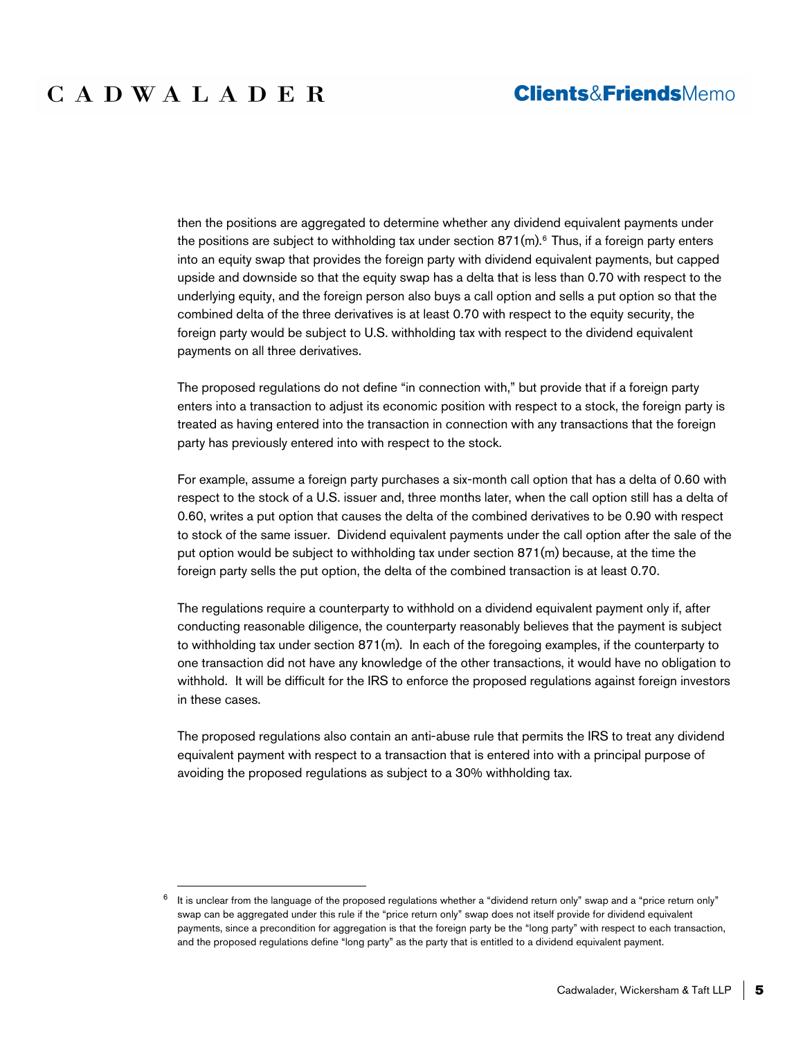## **Clients&FriendsMemo**

then the positions are aggregated to determine whether any dividend equivalent payments under the positions are subject to withholding tax under section  $871$ (m).<sup>6</sup> Thus, if a foreign party enters into an equity swap that provides the foreign party with dividend equivalent payments, but capped upside and downside so that the equity swap has a delta that is less than 0.70 with respect to the underlying equity, and the foreign person also buys a call option and sells a put option so that the combined delta of the three derivatives is at least 0.70 with respect to the equity security, the foreign party would be subject to U.S. withholding tax with respect to the dividend equivalent payments on all three derivatives.

The proposed regulations do not define "in connection with," but provide that if a foreign party enters into a transaction to adjust its economic position with respect to a stock, the foreign party is treated as having entered into the transaction in connection with any transactions that the foreign party has previously entered into with respect to the stock.

For example, assume a foreign party purchases a six-month call option that has a delta of 0.60 with respect to the stock of a U.S. issuer and, three months later, when the call option still has a delta of 0.60, writes a put option that causes the delta of the combined derivatives to be 0.90 with respect to stock of the same issuer. Dividend equivalent payments under the call option after the sale of the put option would be subject to withholding tax under section 871(m) because, at the time the foreign party sells the put option, the delta of the combined transaction is at least 0.70.

The regulations require a counterparty to withhold on a dividend equivalent payment only if, after conducting reasonable diligence, the counterparty reasonably believes that the payment is subject to withholding tax under section 871(m). In each of the foregoing examples, if the counterparty to one transaction did not have any knowledge of the other transactions, it would have no obligation to withhold. It will be difficult for the IRS to enforce the proposed regulations against foreign investors in these cases.

The proposed regulations also contain an anti-abuse rule that permits the IRS to treat any dividend equivalent payment with respect to a transaction that is entered into with a principal purpose of avoiding the proposed regulations as subject to a 30% withholding tax.

 $^6$  It is unclear from the language of the proposed regulations whether a "dividend return only" swap and a "price return only" swap can be aggregated under this rule if the "price return only" swap does not itself provide for dividend equivalent payments, since a precondition for aggregation is that the foreign party be the "long party" with respect to each transaction, and the proposed regulations define "long party" as the party that is entitled to a dividend equivalent payment.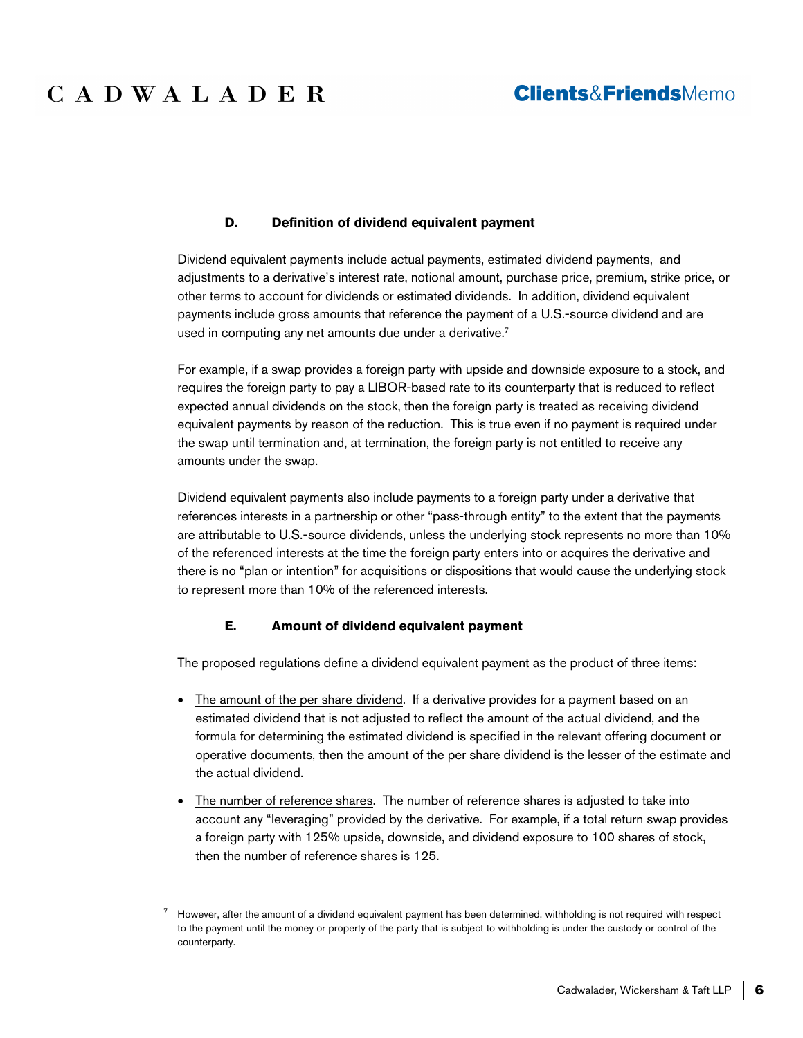## **Clients&FriendsMemo**

### **D. Definition of dividend equivalent payment**

Dividend equivalent payments include actual payments, estimated dividend payments, and adjustments to a derivative's interest rate, notional amount, purchase price, premium, strike price, or other terms to account for dividends or estimated dividends. In addition, dividend equivalent payments include gross amounts that reference the payment of a U.S.-source dividend and are used in computing any net amounts due under a derivative.<sup>7</sup>

For example, if a swap provides a foreign party with upside and downside exposure to a stock, and requires the foreign party to pay a LIBOR-based rate to its counterparty that is reduced to reflect expected annual dividends on the stock, then the foreign party is treated as receiving dividend equivalent payments by reason of the reduction. This is true even if no payment is required under the swap until termination and, at termination, the foreign party is not entitled to receive any amounts under the swap.

Dividend equivalent payments also include payments to a foreign party under a derivative that references interests in a partnership or other "pass-through entity" to the extent that the payments are attributable to U.S.-source dividends, unless the underlying stock represents no more than 10% of the referenced interests at the time the foreign party enters into or acquires the derivative and there is no "plan or intention" for acquisitions or dispositions that would cause the underlying stock to represent more than 10% of the referenced interests.

## **E. Amount of dividend equivalent payment**

The proposed regulations define a dividend equivalent payment as the product of three items:

- The amount of the per share dividend. If a derivative provides for a payment based on an estimated dividend that is not adjusted to reflect the amount of the actual dividend, and the formula for determining the estimated dividend is specified in the relevant offering document or operative documents, then the amount of the per share dividend is the lesser of the estimate and the actual dividend.
- The number of reference shares. The number of reference shares is adjusted to take into account any "leveraging" provided by the derivative. For example, if a total return swap provides a foreign party with 125% upside, downside, and dividend exposure to 100 shares of stock, then the number of reference shares is 125.

 $7$  However, after the amount of a dividend equivalent payment has been determined, withholding is not required with respect to the payment until the money or property of the party that is subject to withholding is under the custody or control of the counterparty.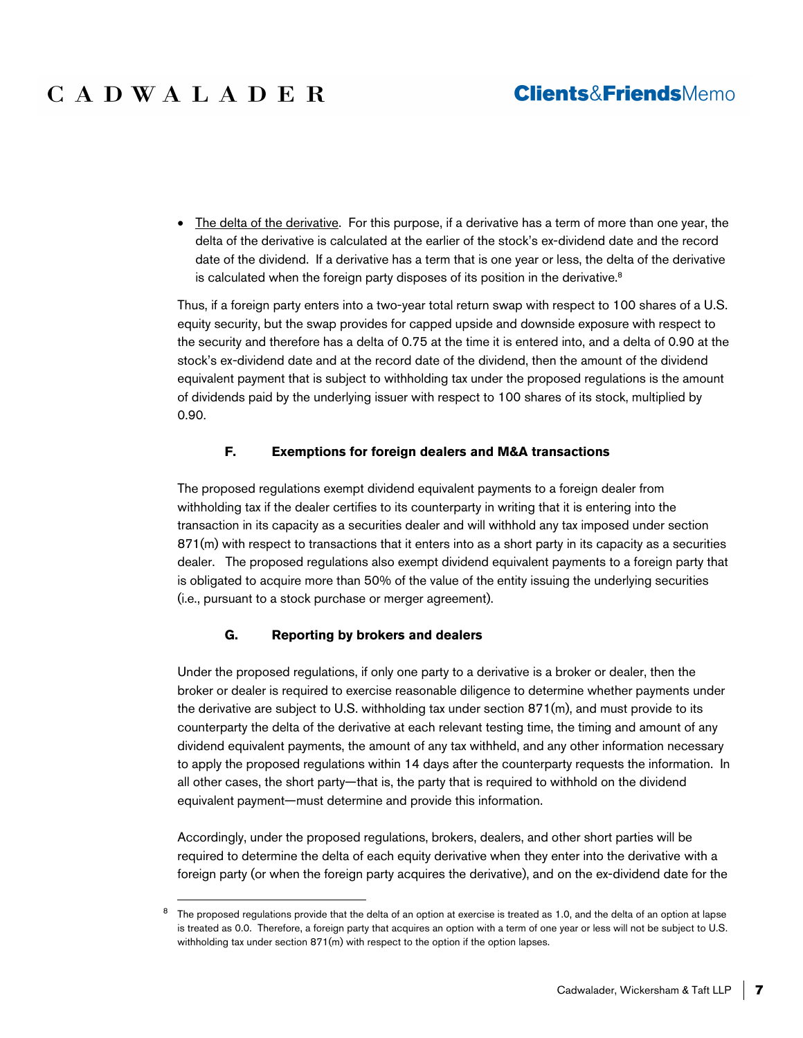## **Clients&FriendsMemo**

• The delta of the derivative. For this purpose, if a derivative has a term of more than one year, the delta of the derivative is calculated at the earlier of the stock's ex-dividend date and the record date of the dividend. If a derivative has a term that is one year or less, the delta of the derivative is calculated when the foreign party disposes of its position in the derivative.<sup>8</sup>

Thus, if a foreign party enters into a two-year total return swap with respect to 100 shares of a U.S. equity security, but the swap provides for capped upside and downside exposure with respect to the security and therefore has a delta of 0.75 at the time it is entered into, and a delta of 0.90 at the stock's ex-dividend date and at the record date of the dividend, then the amount of the dividend equivalent payment that is subject to withholding tax under the proposed regulations is the amount of dividends paid by the underlying issuer with respect to 100 shares of its stock, multiplied by 0.90.

## **F. Exemptions for foreign dealers and M&A transactions**

The proposed regulations exempt dividend equivalent payments to a foreign dealer from withholding tax if the dealer certifies to its counterparty in writing that it is entering into the transaction in its capacity as a securities dealer and will withhold any tax imposed under section 871(m) with respect to transactions that it enters into as a short party in its capacity as a securities dealer. The proposed regulations also exempt dividend equivalent payments to a foreign party that is obligated to acquire more than 50% of the value of the entity issuing the underlying securities (i.e., pursuant to a stock purchase or merger agreement).

## **G. Reporting by brokers and dealers**

Under the proposed regulations, if only one party to a derivative is a broker or dealer, then the broker or dealer is required to exercise reasonable diligence to determine whether payments under the derivative are subject to U.S. withholding tax under section 871(m), and must provide to its counterparty the delta of the derivative at each relevant testing time, the timing and amount of any dividend equivalent payments, the amount of any tax withheld, and any other information necessary to apply the proposed regulations within 14 days after the counterparty requests the information. In all other cases, the short party—that is, the party that is required to withhold on the dividend equivalent payment—must determine and provide this information.

Accordingly, under the proposed regulations, brokers, dealers, and other short parties will be required to determine the delta of each equity derivative when they enter into the derivative with a foreign party (or when the foreign party acquires the derivative), and on the ex-dividend date for the

<sup>&</sup>lt;sup>8</sup> The proposed regulations provide that the delta of an option at exercise is treated as 1.0, and the delta of an option at lapse is treated as 0.0. Therefore, a foreign party that acquires an option with a term of one year or less will not be subject to U.S. withholding tax under section 871(m) with respect to the option if the option lapses.